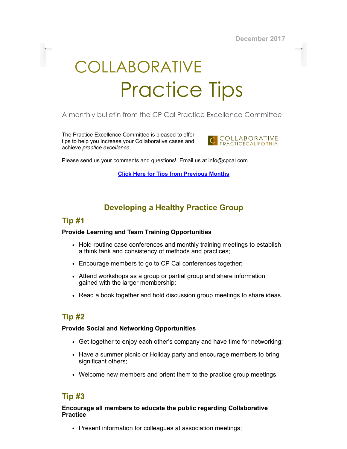December 2017

# COLLABORATIVE Practice Tips

# A monthly bulletin from the CP Cal Practice Excellence Committee

The Practice Excellence Committee is pleased to offer tips to help you increase your Collaborative cases and achieve practice excellence.



Please send us your comments and questions! Email us at info@cpcal.com

Click Here for Tips from [Previous](https://www.dropbox.com/sh/nns7xqfkrgzi7sx/AACnvsWvEnTcndxaKdXGRv_Pa?dl=0) Months

# Developing a Healthy Practice Group

## Tip #1

## Provide Learning and Team Training Opportunities

- Hold routine case conferences and monthly training meetings to establish a think tank and consistency of methods and practices;
- Encourage members to go to CP Cal conferences together;
- Attend workshops as a group or partial group and share information gained with the larger membership;
- Read a book together and hold discussion group meetings to share ideas.

# Tip #2

## Provide Social and Networking Opportunities

- Get together to enjoy each other's company and have time for networking;
- Have a summer picnic or Holiday party and encourage members to bring significant others;
- Welcome new members and orient them to the practice group meetings.

# Tip #3

## Encourage all members to educate the public regarding Collaborative **Practice**

• Present information for colleagues at association meetings;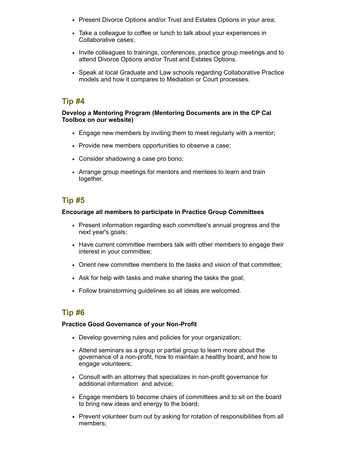- Present Divorce Options and/or Trust and Estates Options in your area;
- Take a colleague to coffee or lunch to talk about your experiences in Collaborative cases;
- Invite colleagues to trainings, conferences, practice group meetings and to attend Divorce Options and/or Trust and Estates Options.
- Speak at local Graduate and Law schools regarding Collaborative Practice models and how it compares to Mediation or Court processes.

## Tip #4

#### Develop a Mentoring Program (Mentoring Documents are in the CP Cal Toolbox on our website)

- Engage new members by inviting them to meet regularly with a mentor;
- Provide new members opportunities to observe a case;
- Consider shadowing a case pro bono;
- Arrange group meetings for mentors and mentees to learn and train together.

# Tip #5

## Encourage all members to participate in Practice Group Committees

- Present information regarding each committee's annual progress and the next year's goals;
- Have current committee members talk with other members to engage their interest in your committee;
- Orient new committee members to the tasks and vision of that committee;
- Ask for help with tasks and make sharing the tasks the goal;
- Follow brainstorming guidelines so all ideas are welcomed.

# Tip #6

## Practice Good Governance of your Non-Profit

- Develop governing rules and policies for your organization;
- Attend seminars as a group or partial group to learn more about the governance of a non-profit, how to maintain a healthy board, and how to engage volunteers;
- Consult with an attorney that specializes in non-profit governance for additional information and advice;
- Engage members to become chairs of committees and to sit on the board to bring new ideas and energy to the board;
- Prevent volunteer burn out by asking for rotation of responsibilities from all members;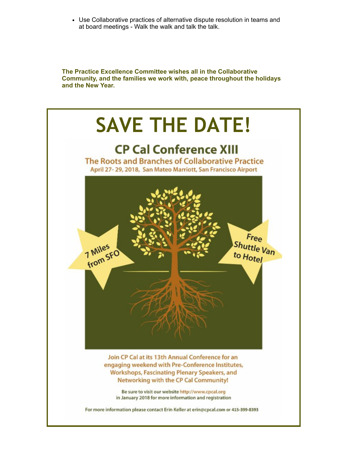Use Collaborative practices of alternative dispute resolution in teams and at board meetings - Walk the walk and talk the talk.

The Practice Excellence Committee wishes all in the Collaborative Community, and the families we work with, peace throughout the holidays and the New Year.